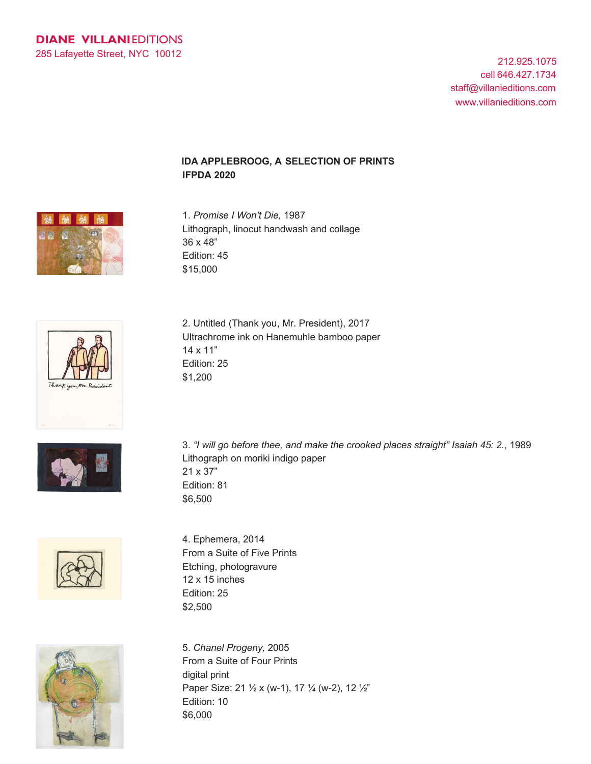212.925.1075 cell 646.427.1734 staff@villanieditions.com www.villanieditions.com

## **IDA APPLEBROOG, A SELECTION OF PRINTS IFPDA 2020**



1. *Promise I Won't Die,* 1987 Lithograph, linocut handwash and collage 36 x 48" Edition: 45 \$15,000



Ultrachrome ink on Hanemuhle bamboo paper 14 x 11" Edition: 25 \$1,200

2. Untitled (Thank you, Mr. President), 2017



3. *"I will go before thee, and make the crooked places straight" Isaiah 45: 2.*, 1989 Lithograph on moriki indigo paper 21 x 37" Edition: 81 \$6,500



4. Ephemera, 2014 From a Suite of Five Prints Etching, photogravure 12 x 15 inches Edition: 25 \$2,500

5. *Chanel Progeny,* 2005 From a Suite of Four Prints digital print Paper Size: 21 1/2 x (w-1), 17 1/4 (w-2), 12 1/2" Edition: 10 \$6,000